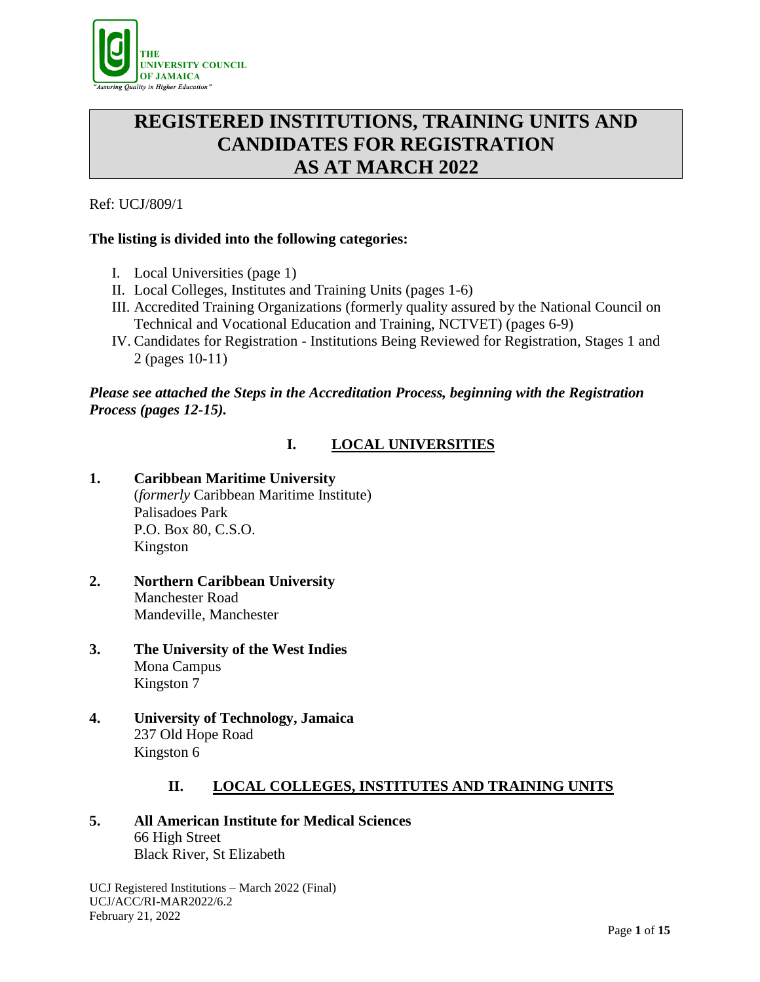

# **REGISTERED INSTITUTIONS, TRAINING UNITS AND CANDIDATES FOR REGISTRATION AS AT MARCH 2022**

Ref: UCJ/809/1

# **The listing is divided into the following categories:**

- I. Local Universities (page 1)
- II. Local Colleges, Institutes and Training Units (pages 1-6)
- III. Accredited Training Organizations (formerly quality assured by the National Council on Technical and Vocational Education and Training, NCTVET) (pages 6-9)
- IV. Candidates for Registration Institutions Being Reviewed for Registration, Stages 1 and 2 (pages 10-11)

# *Please see attached the Steps in the Accreditation Process, beginning with the Registration Process (pages 12-15).*

# **I. LOCAL UNIVERSITIES**

- **1. Caribbean Maritime University** (*formerly* Caribbean Maritime Institute) Palisadoes Park P.O. Box 80, C.S.O. Kingston
- **2. Northern Caribbean University** Manchester Road Mandeville, Manchester
- **3. The University of the West Indies**  Mona Campus Kingston 7
- **4. University of Technology, Jamaica**  237 Old Hope Road Kingston 6

# **II. LOCAL COLLEGES, INSTITUTES AND TRAINING UNITS**

# **5. All American Institute for Medical Sciences** 66 High Street Black River, St Elizabeth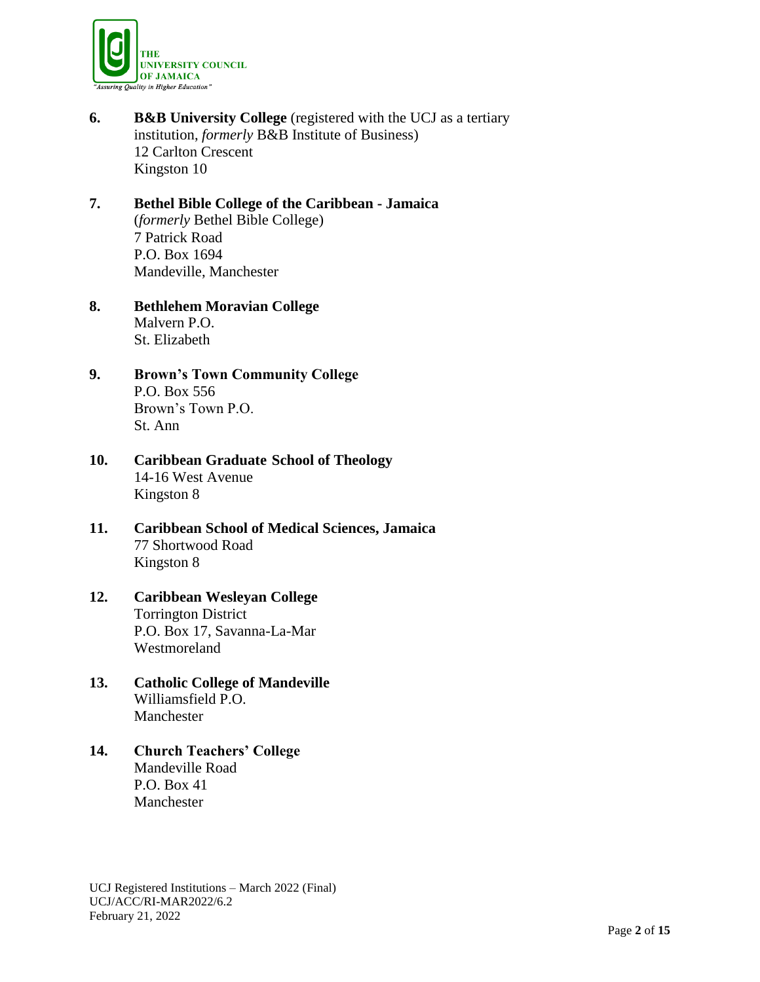

**6. B&B University College** (registered with the UCJ as a tertiary institution, *formerly* B&B Institute of Business) 12 Carlton Crescent Kingston 10

# **7. Bethel Bible College of the Caribbean - Jamaica** (*formerly* Bethel Bible College) 7 Patrick Road P.O. Box 1694 Mandeville, Manchester

## **8. Bethlehem Moravian College** Malvern P.O. St. Elizabeth

# **9. Brown's Town Community College** P.O. Box 556 Brown's Town P.O. St. Ann

# **10. Caribbean Graduate School of Theology** 14-16 West Avenue Kingston 8

# **11. Caribbean School of Medical Sciences, Jamaica** 77 Shortwood Road Kingston 8

## **12. Caribbean Wesleyan College** Torrington District P.O. Box 17, Savanna-La-Mar Westmoreland

## **13. Catholic College of Mandeville** Williamsfield P.O. Manchester

# **14. Church Teachers' College** Mandeville Road P.O. Box 41 Manchester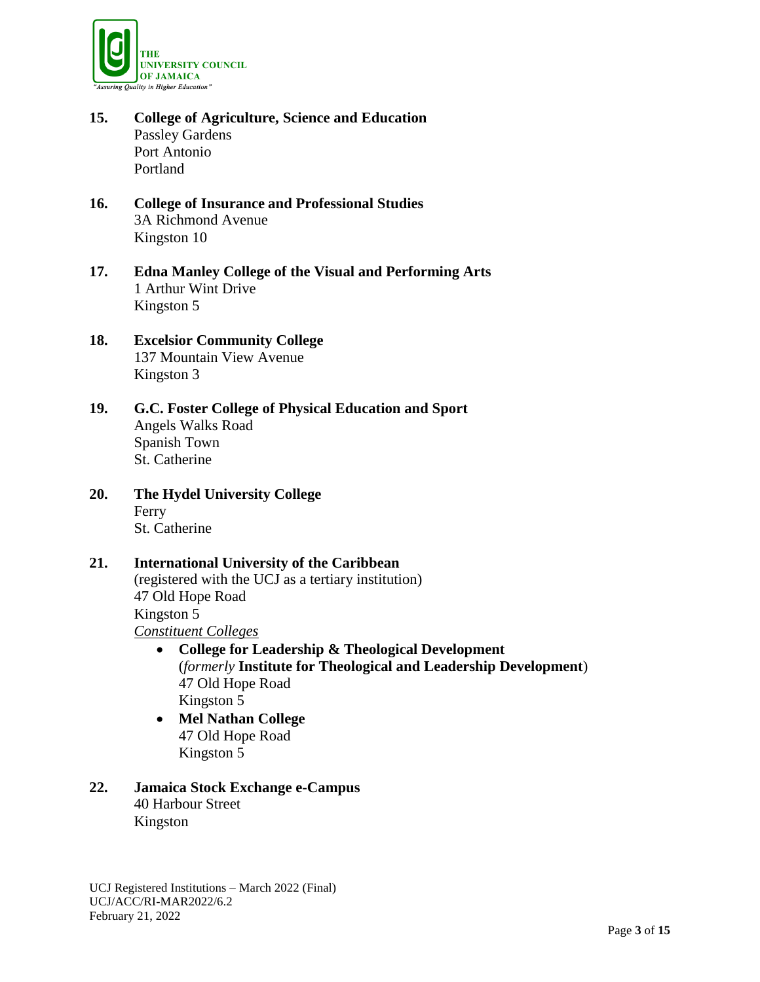

- **15. College of Agriculture, Science and Education**  Passley Gardens Port Antonio Portland
- **16. College of Insurance and Professional Studies**  3A Richmond Avenue Kingston 10
- **17. Edna Manley College of the Visual and Performing Arts** 1 Arthur Wint Drive Kingston 5
- **18. Excelsior Community College**  137 Mountain View Avenue Kingston 3
- **19. G.C. Foster College of Physical Education and Sport** Angels Walks Road Spanish Town St. Catherine
- **20. The Hydel University College** Ferry St. Catherine

# **21. International University of the Caribbean**

(registered with the UCJ as a tertiary institution) 47 Old Hope Road Kingston 5 *Constituent Colleges*

- **College for Leadership & Theological Development**  (*formerly* **Institute for Theological and Leadership Development**) 47 Old Hope Road Kingston 5
- **Mel Nathan College** 47 Old Hope Road Kingston 5
- **22. Jamaica Stock Exchange e-Campus** 40 Harbour Street Kingston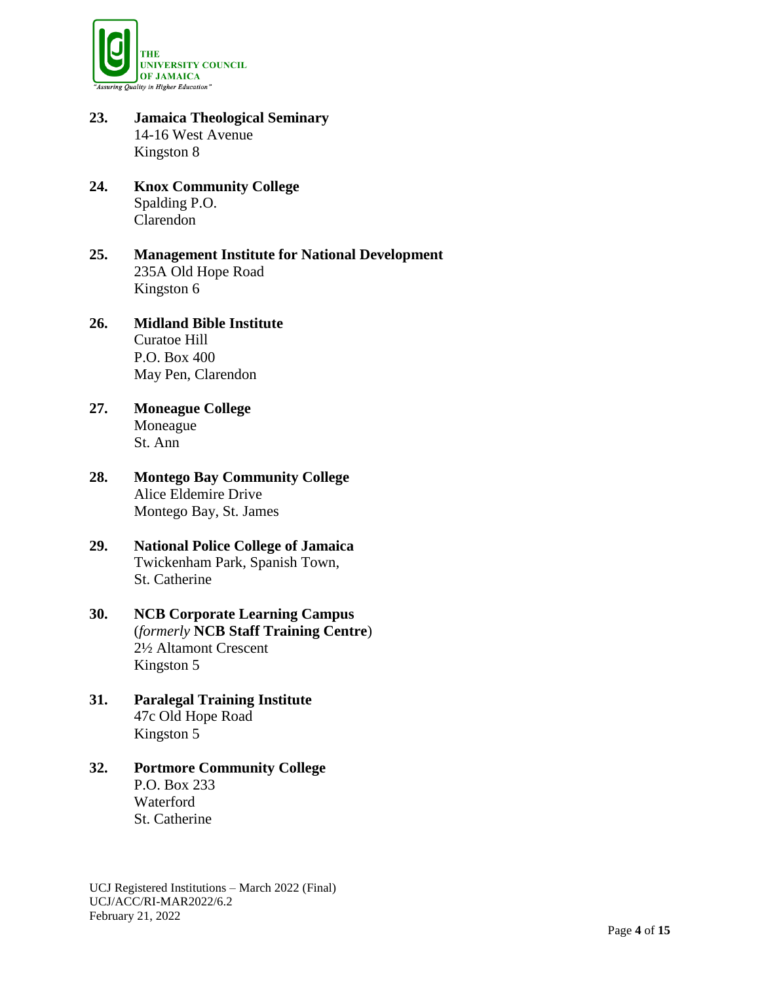

- **23. Jamaica Theological Seminary** 14-16 West Avenue Kingston 8
- **24. Knox Community College** Spalding P.O. Clarendon
- **25. Management Institute for National Development**  235A Old Hope Road Kingston 6
- **26. Midland Bible Institute** Curatoe Hill P.O. Box 400 May Pen, Clarendon
- **27. Moneague College** Moneague St. Ann
- **28. Montego Bay Community College** Alice Eldemire Drive Montego Bay, St. James
- **29. National Police College of Jamaica** Twickenham Park, Spanish Town, St. Catherine
- **30. NCB Corporate Learning Campus** (*formerly* **NCB Staff Training Centre**) 2½ Altamont Crescent Kingston 5
- **31. Paralegal Training Institute** 47c Old Hope Road Kingston 5
- **32. Portmore Community College** P.O. Box 233 Waterford St. Catherine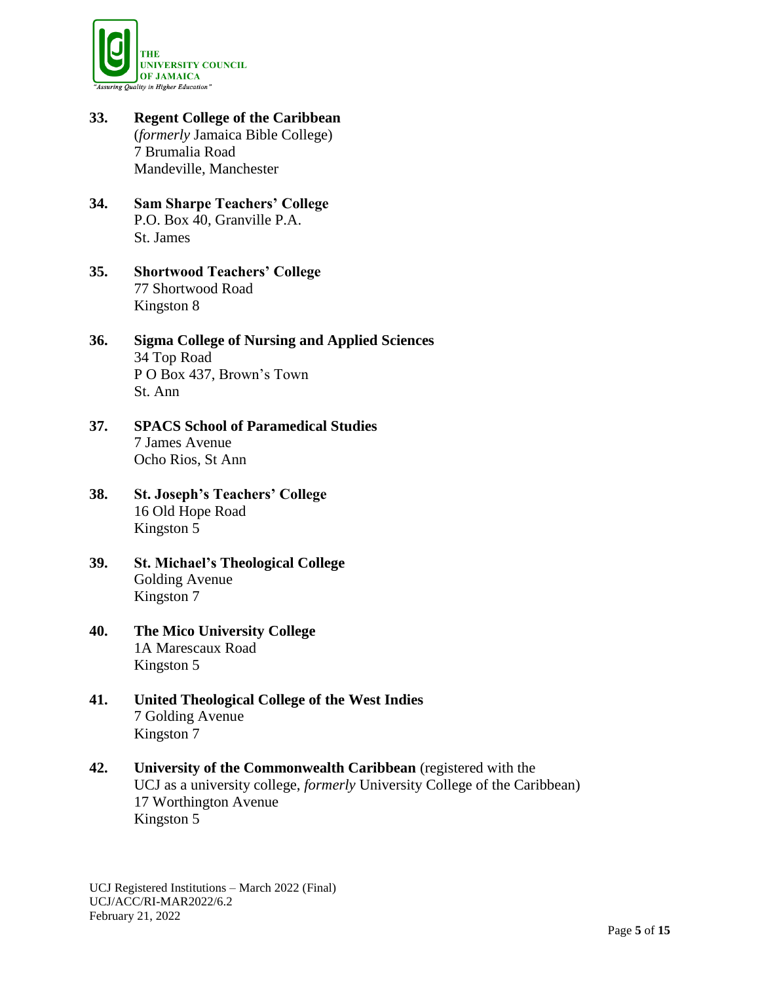

- **33. Regent College of the Caribbean**  (*formerly* Jamaica Bible College) 7 Brumalia Road Mandeville, Manchester
- **34. Sam Sharpe Teachers' College** P.O. Box 40, Granville P.A. St. James
- **35. Shortwood Teachers' College** 77 Shortwood Road Kingston 8
- **36. Sigma College of Nursing and Applied Sciences** 34 Top Road P O Box 437, Brown's Town St. Ann
- **37. SPACS School of Paramedical Studies** 7 James Avenue Ocho Rios, St Ann
- **38. St. Joseph's Teachers' College** 16 Old Hope Road Kingston 5
- **39. St. Michael's Theological College** Golding Avenue Kingston 7
- **40. The Mico University College** 1A Marescaux Road Kingston 5
- **41. United Theological College of the West Indies**  7 Golding Avenue Kingston 7
- **42. University of the Commonwealth Caribbean** (registered with the UCJ as a university college, *formerly* University College of the Caribbean) 17 Worthington Avenue Kingston 5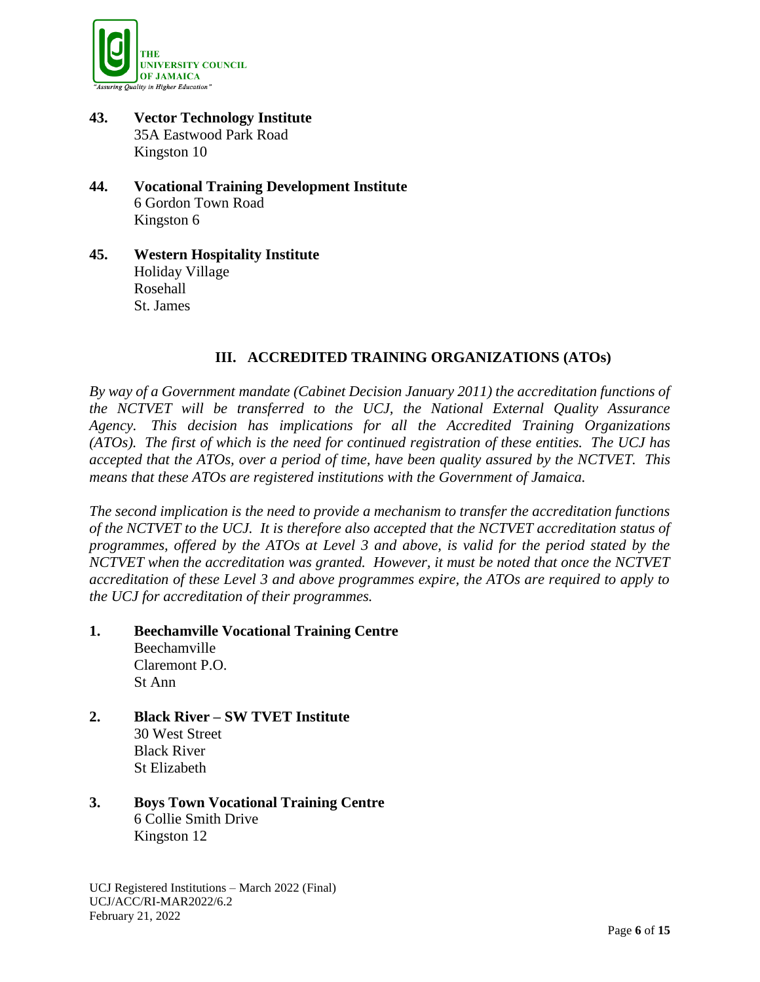

- **43. Vector Technology Institute** 35A Eastwood Park Road Kingston 10
- **44. Vocational Training Development Institute**  6 Gordon Town Road Kingston 6
- **45. Western Hospitality Institute**  Holiday Village Rosehall St. James

# **III. ACCREDITED TRAINING ORGANIZATIONS (ATOs)**

*By way of a Government mandate (Cabinet Decision January 2011) the accreditation functions of the NCTVET will be transferred to the UCJ, the National External Quality Assurance Agency. This decision has implications for all the Accredited Training Organizations (ATOs). The first of which is the need for continued registration of these entities. The UCJ has accepted that the ATOs, over a period of time, have been quality assured by the NCTVET. This means that these ATOs are registered institutions with the Government of Jamaica.* 

*The second implication is the need to provide a mechanism to transfer the accreditation functions of the NCTVET to the UCJ. It is therefore also accepted that the NCTVET accreditation status of programmes, offered by the ATOs at Level 3 and above, is valid for the period stated by the NCTVET when the accreditation was granted. However, it must be noted that once the NCTVET accreditation of these Level 3 and above programmes expire, the ATOs are required to apply to the UCJ for accreditation of their programmes.*

- **1. Beechamville Vocational Training Centre** Beechamville Claremont P.O. St Ann
- **2. Black River – SW TVET Institute** 30 West Street Black River St Elizabeth
- **3. Boys Town Vocational Training Centre** 6 Collie Smith Drive Kingston 12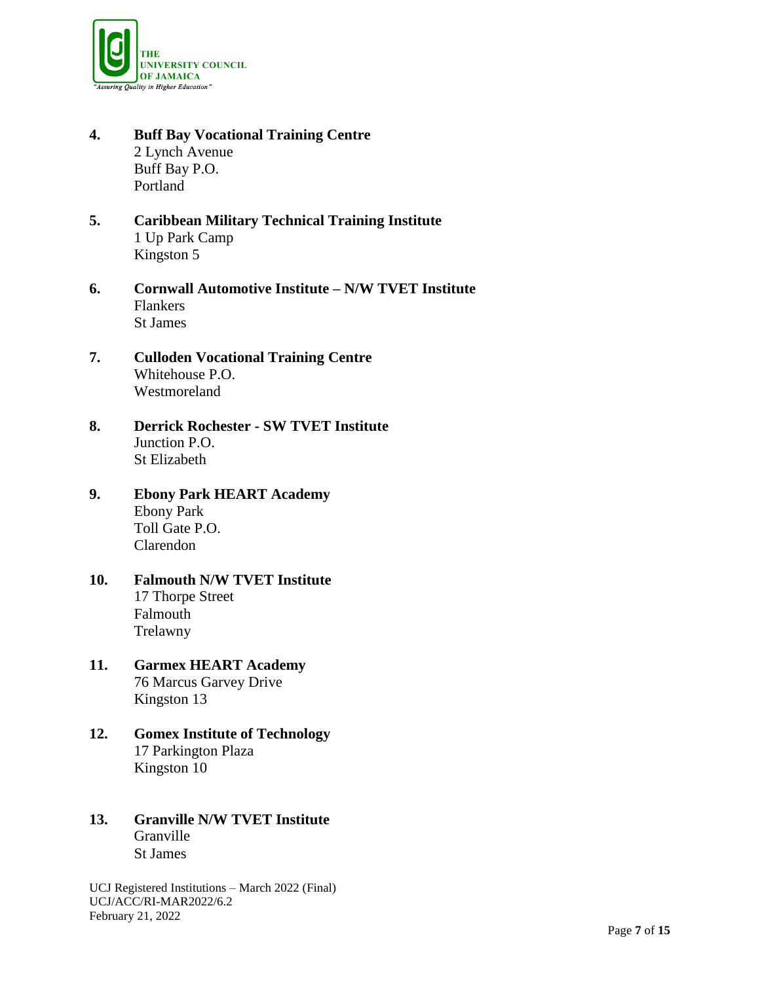

- **4. Buff Bay Vocational Training Centre** 2 Lynch Avenue Buff Bay P.O. Portland
- **5. Caribbean Military Technical Training Institute** 1 Up Park Camp Kingston 5
- **6. Cornwall Automotive Institute – N/W TVET Institute** Flankers St James
- **7. Culloden Vocational Training Centre** Whitehouse P.O. Westmoreland
- **8. Derrick Rochester - SW TVET Institute** Junction P.O. St Elizabeth
- **9. Ebony Park HEART Academy** Ebony Park Toll Gate P.O. Clarendon
- **10. Falmouth N/W TVET Institute** 17 Thorpe Street Falmouth Trelawny
- **11. Garmex HEART Academy** 76 Marcus Garvey Drive Kingston 13
- **12. Gomex Institute of Technology** 17 Parkington Plaza Kingston 10
- **13. Granville N/W TVET Institute** Granville St James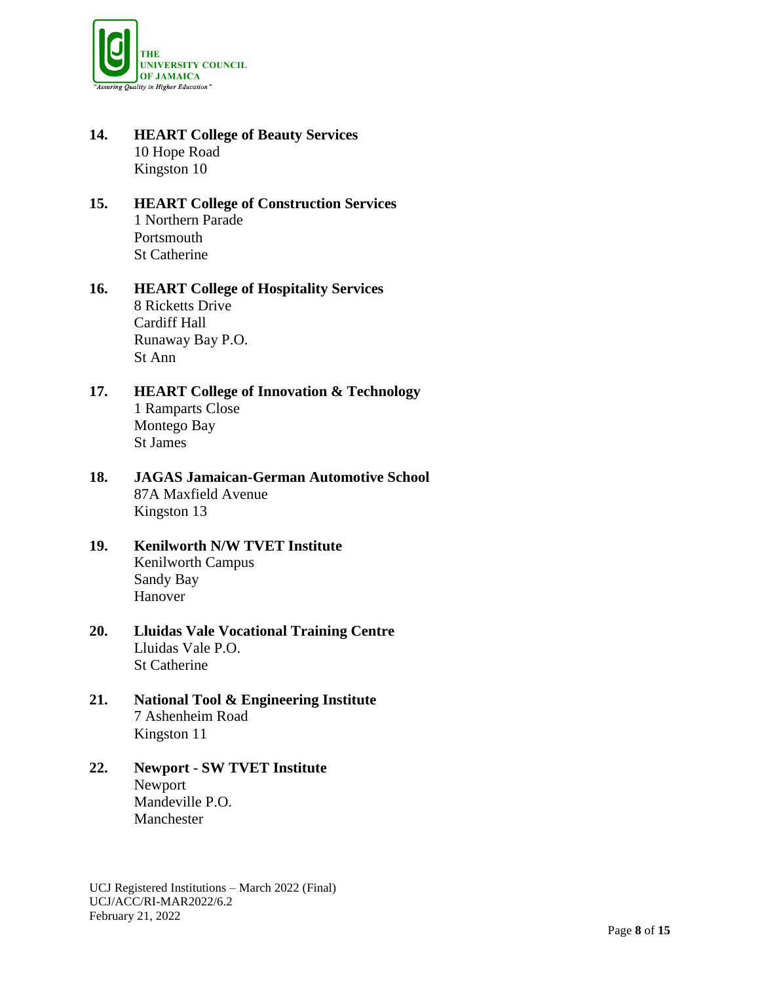

- **14. HEART College of Beauty Services** 10 Hope Road Kingston 10
- **15. HEART College of Construction Services** 1 Northern Parade Portsmouth St Catherine
- **16. HEART College of Hospitality Services** 8 Ricketts Drive Cardiff Hall Runaway Bay P.O. St Ann

# **17. HEART College of Innovation & Technology** 1 Ramparts Close Montego Bay St James

- **18. JAGAS Jamaican-German Automotive School** 87A Maxfield Avenue Kingston 13
- **19. Kenilworth N/W TVET Institute** Kenilworth Campus Sandy Bay Hanover

# **20. Lluidas Vale Vocational Training Centre** Lluidas Vale P.O. St Catherine

**21. National Tool & Engineering Institute** 7 Ashenheim Road Kingston 11

## **22. Newport - SW TVET Institute** Newport Mandeville P.O. Manchester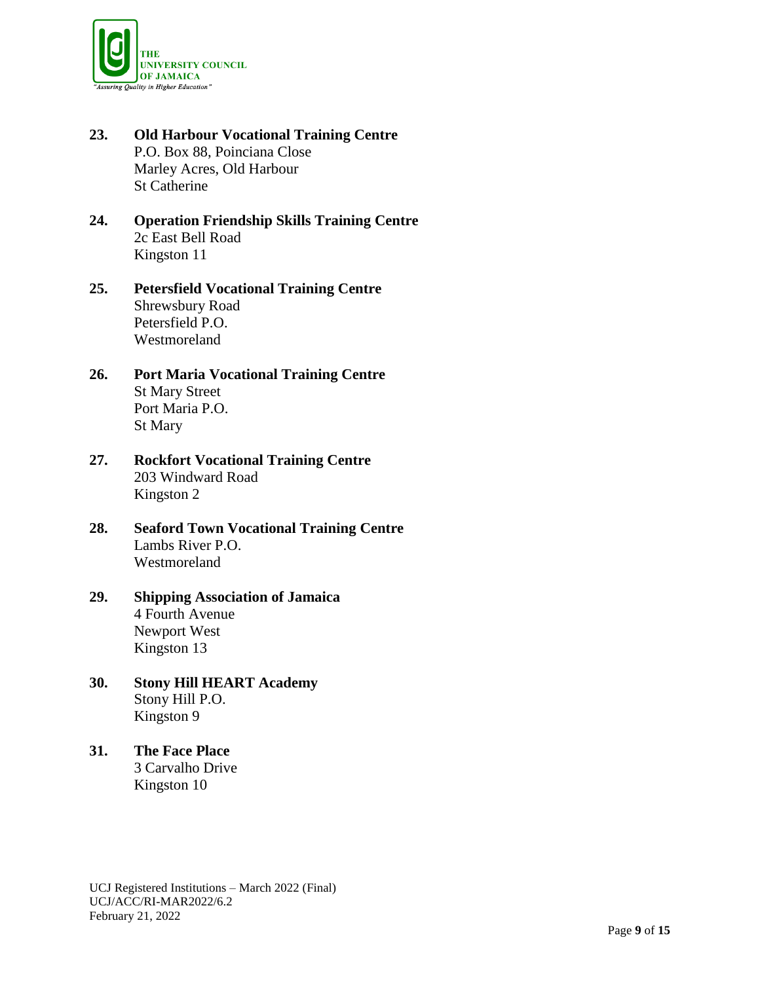

- **23. Old Harbour Vocational Training Centre** P.O. Box 88, Poinciana Close Marley Acres, Old Harbour St Catherine
- **24. Operation Friendship Skills Training Centre** 2c East Bell Road Kingston 11
- **25. Petersfield Vocational Training Centre** Shrewsbury Road Petersfield P.O. Westmoreland
- **26. Port Maria Vocational Training Centre** St Mary Street Port Maria P.O. St Mary
- **27. Rockfort Vocational Training Centre** 203 Windward Road Kingston 2
- **28. Seaford Town Vocational Training Centre** Lambs River P.O. Westmoreland

# **29. Shipping Association of Jamaica** 4 Fourth Avenue Newport West Kingston 13

- **30. Stony Hill HEART Academy** Stony Hill P.O. Kingston 9
- **31. The Face Place** 3 Carvalho Drive Kingston 10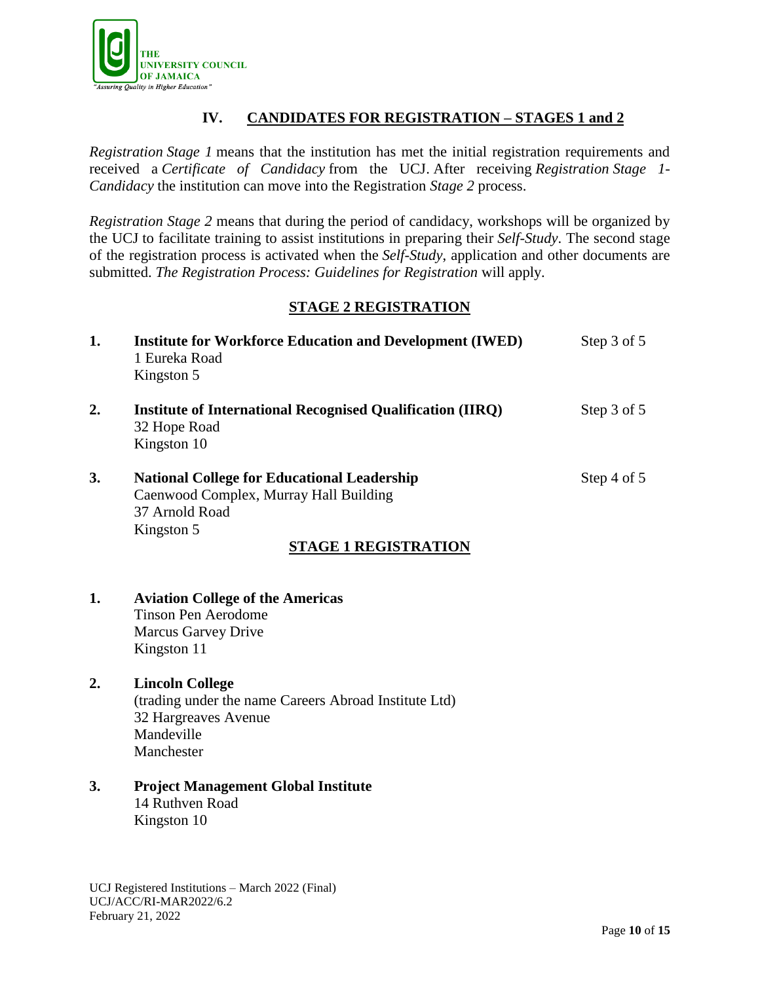

# **IV. CANDIDATES FOR REGISTRATION – STAGES 1 and 2**

*Registration Stage 1* means that the institution has met the initial registration requirements and received a *Certificate of Candidacy* from the UCJ. After receiving *Registration Stage 1- Candidacy* the institution can move into the Registration *Stage 2* process.

*Registration Stage 2* means that during the period of candidacy, workshops will be organized by the UCJ to facilitate training to assist institutions in preparing their *Self-Study*. The second stage of the registration process is activated when the *Self-Study*, application and other documents are submitted. *The Registration Process: Guidelines for Registration* will apply.

# **STAGE 2 REGISTRATION**

| 1.               | <b>Institute for Workforce Education and Development (IWED)</b><br>1 Eureka Road<br>Kingston 5                                                              | Step 3 of 5 |
|------------------|-------------------------------------------------------------------------------------------------------------------------------------------------------------|-------------|
| 2.               | <b>Institute of International Recognised Qualification (IIRQ)</b><br>32 Hope Road<br>Kingston 10                                                            | Step 3 of 5 |
| 3.               | <b>National College for Educational Leadership</b><br>Caenwood Complex, Murray Hall Building<br>37 Arnold Road<br>Kingston 5<br><b>STAGE 1 REGISTRATION</b> | Step 4 of 5 |
| 1.               | <b>Aviation College of the Americas</b><br><b>Tinson Pen Aerodome</b><br><b>Marcus Garvey Drive</b><br>Kingston 11                                          |             |
| $\overline{2}$ . | <b>Lincoln College</b><br>(trading under the name Careers Abroad Institute Ltd)                                                                             |             |

32 Hargreaves Avenue Mandeville Manchester

## **3. Project Management Global Institute** 14 Ruthven Road Kingston 10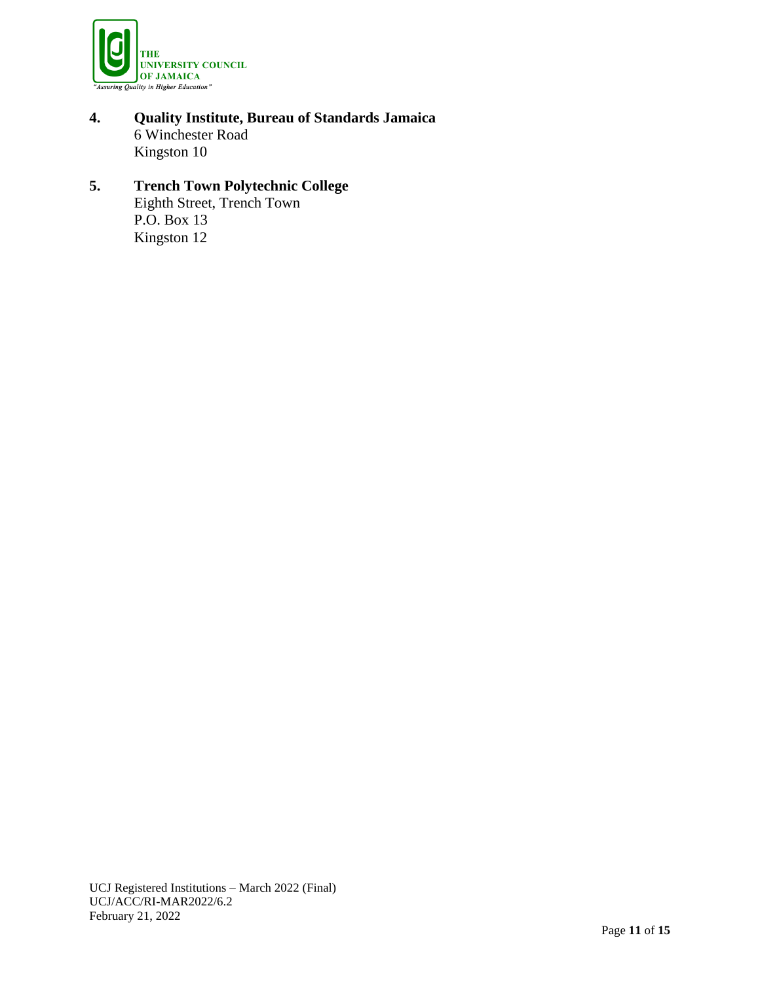

**4. Quality Institute, Bureau of Standards Jamaica** 6 Winchester Road Kingston 10

# **5. Trench Town Polytechnic College** Eighth Street, Trench Town

P.O. Box 13 Kingston 12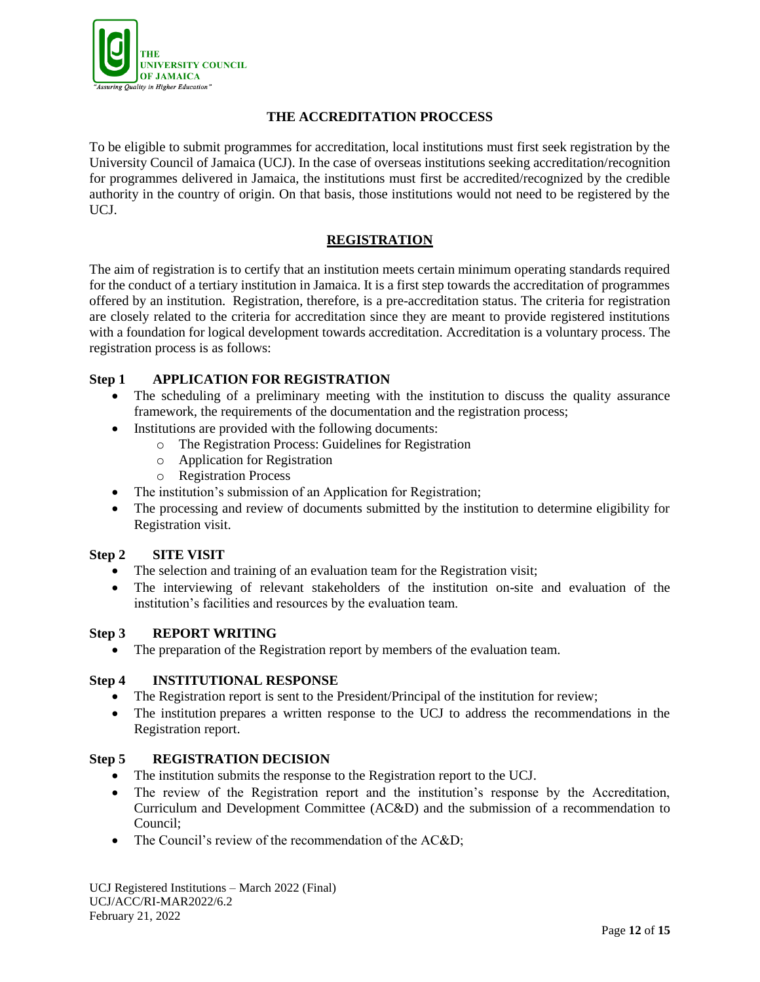

## **THE ACCREDITATION PROCCESS**

To be eligible to submit programmes for accreditation, local institutions must first seek registration by the University Council of Jamaica (UCJ). In the case of overseas institutions seeking accreditation/recognition for programmes delivered in Jamaica, the institutions must first be accredited/recognized by the credible authority in the country of origin. On that basis, those institutions would not need to be registered by the UCJ.

## **REGISTRATION**

The aim of registration is to certify that an institution meets certain minimum operating standards required for the conduct of a tertiary institution in Jamaica. It is a first step towards the accreditation of programmes offered by an institution. Registration, therefore, is a pre-accreditation status. The criteria for registration are closely related to the criteria for accreditation since they are meant to provide registered institutions with a foundation for logical development towards accreditation. Accreditation is a voluntary process. The registration process is as follows:

## **Step 1 APPLICATION FOR REGISTRATION**

- The scheduling of a preliminary meeting with the institution to discuss the quality assurance framework, the requirements of the documentation and the registration process;
- Institutions are provided with the following documents:
	- o The Registration Process: Guidelines for Registration
	- o Application for Registration
	- o Registration Process
- The institution's submission of an Application for Registration;
- The processing and review of documents submitted by the institution to determine eligibility for Registration visit.

#### **Step 2 SITE VISIT**

- The selection and training of an evaluation team for the Registration visit;
- The interviewing of relevant stakeholders of the institution on-site and evaluation of the institution's facilities and resources by the evaluation team.

#### **Step 3 REPORT WRITING**

The preparation of the Registration report by members of the evaluation team.

#### **Step 4 INSTITUTIONAL RESPONSE**

- The Registration report is sent to the President/Principal of the institution for review;
- The institution prepares a written response to the UCJ to address the recommendations in the Registration report.

#### **Step 5 REGISTRATION DECISION**

- The institution submits the response to the Registration report to the UCJ.
- The review of the Registration report and the institution's response by the Accreditation, Curriculum and Development Committee (AC&D) and the submission of a recommendation to Council;
- The Council's review of the recommendation of the AC&D;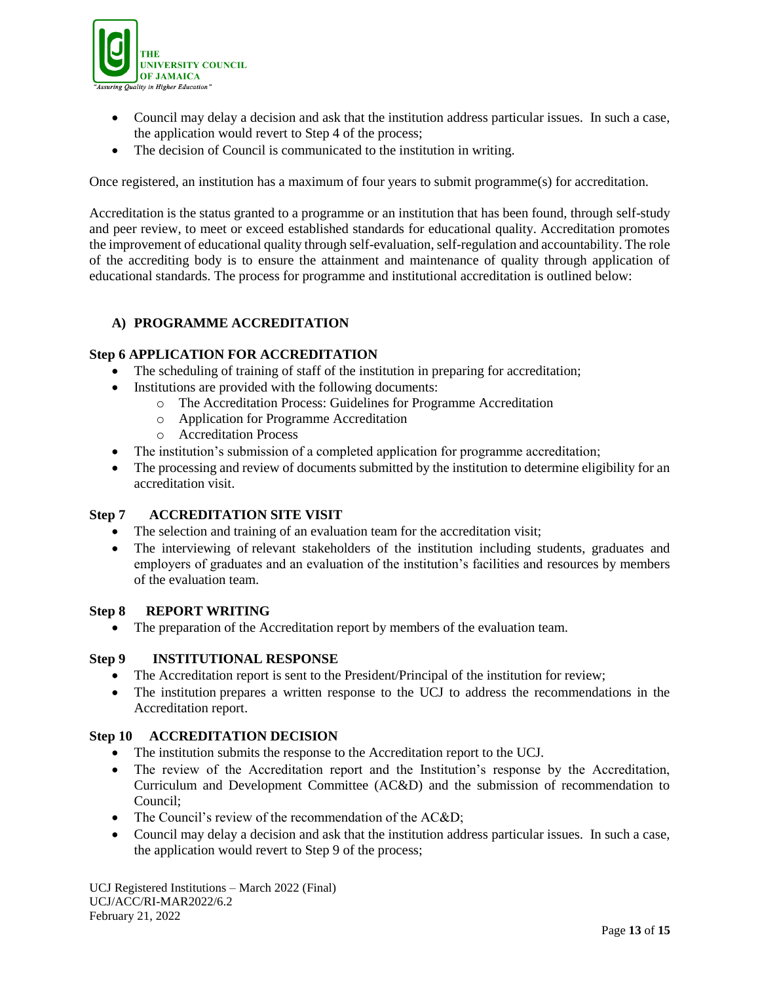

- Council may delay a decision and ask that the institution address particular issues. In such a case, the application would revert to Step 4 of the process;
- The decision of Council is communicated to the institution in writing.

Once registered, an institution has a maximum of four years to submit programme(s) for accreditation.

Accreditation is the status granted to a programme or an institution that has been found, through self-study and peer review, to meet or exceed established standards for educational quality. Accreditation promotes the improvement of educational quality through self-evaluation, self-regulation and accountability. The role of the accrediting body is to ensure the attainment and maintenance of quality through application of educational standards. The process for programme and institutional accreditation is outlined below:

#### **A) PROGRAMME ACCREDITATION**

#### **Step 6 APPLICATION FOR ACCREDITATION**

- The scheduling of training of staff of the institution in preparing for accreditation;
- Institutions are provided with the following documents:
	- o The Accreditation Process: Guidelines for Programme Accreditation
		- o Application for Programme Accreditation
		- o Accreditation Process
- The institution's submission of a completed application for programme accreditation;
- The processing and review of documents submitted by the institution to determine eligibility for an accreditation visit.

#### **Step 7 ACCREDITATION SITE VISIT**

- The selection and training of an evaluation team for the accreditation visit;
- The interviewing of relevant stakeholders of the institution including students, graduates and employers of graduates and an evaluation of the institution's facilities and resources by members of the evaluation team.

#### **Step 8 REPORT WRITING**

• The preparation of the Accreditation report by members of the evaluation team.

#### **Step 9 INSTITUTIONAL RESPONSE**

- The Accreditation report is sent to the President/Principal of the institution for review;
- The institution prepares a written response to the UCJ to address the recommendations in the Accreditation report.

#### **Step 10 ACCREDITATION DECISION**

- The institution submits the response to the Accreditation report to the UCJ.
- The review of the Accreditation report and the Institution's response by the Accreditation, Curriculum and Development Committee (AC&D) and the submission of recommendation to Council;
- The Council's review of the recommendation of the AC&D;
- Council may delay a decision and ask that the institution address particular issues. In such a case, the application would revert to Step 9 of the process;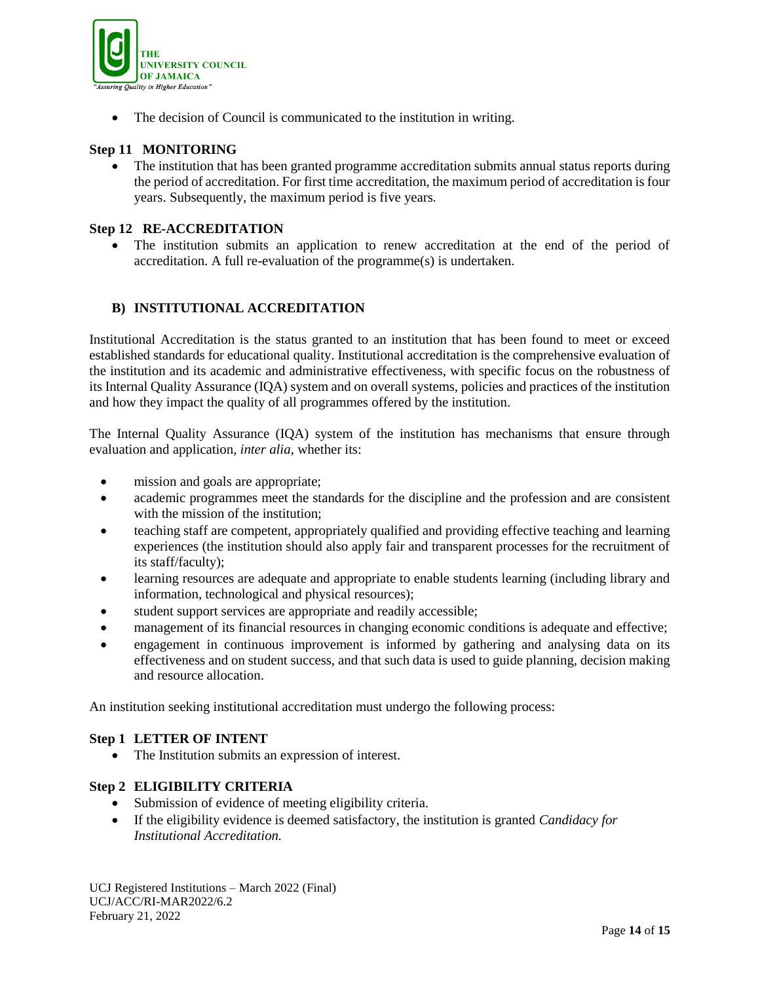

• The decision of Council is communicated to the institution in writing.

# **Step 11 MONITORING**

• The institution that has been granted programme accreditation submits annual status reports during the period of accreditation. For first time accreditation, the maximum period of accreditation is four years. Subsequently, the maximum period is five years.

## **Step 12 RE-ACCREDITATION**

 The institution submits an application to renew accreditation at the end of the period of accreditation. A full re-evaluation of the programme(s) is undertaken.

# **B) INSTITUTIONAL ACCREDITATION**

Institutional Accreditation is the status granted to an institution that has been found to meet or exceed established standards for educational quality. Institutional accreditation is the comprehensive evaluation of the institution and its academic and administrative effectiveness, with specific focus on the robustness of its Internal Quality Assurance (IQA) system and on overall systems, policies and practices of the institution and how they impact the quality of all programmes offered by the institution.

The Internal Quality Assurance (IQA) system of the institution has mechanisms that ensure through evaluation and application, *inter alia*, whether its:

- mission and goals are appropriate;
- academic programmes meet the standards for the discipline and the profession and are consistent with the mission of the institution;
- teaching staff are competent, appropriately qualified and providing effective teaching and learning experiences (the institution should also apply fair and transparent processes for the recruitment of its staff/faculty);
- learning resources are adequate and appropriate to enable students learning (including library and information, technological and physical resources);
- student support services are appropriate and readily accessible;
- management of its financial resources in changing economic conditions is adequate and effective;
- engagement in continuous improvement is informed by gathering and analysing data on its effectiveness and on student success, and that such data is used to guide planning, decision making and resource allocation.

An institution seeking institutional accreditation must undergo the following process:

#### **Step 1 LETTER OF INTENT**

• The Institution submits an expression of interest.

#### **Step 2 ELIGIBILITY CRITERIA**

- Submission of evidence of meeting eligibility criteria.
- If the eligibility evidence is deemed satisfactory, the institution is granted *Candidacy for Institutional Accreditation.*